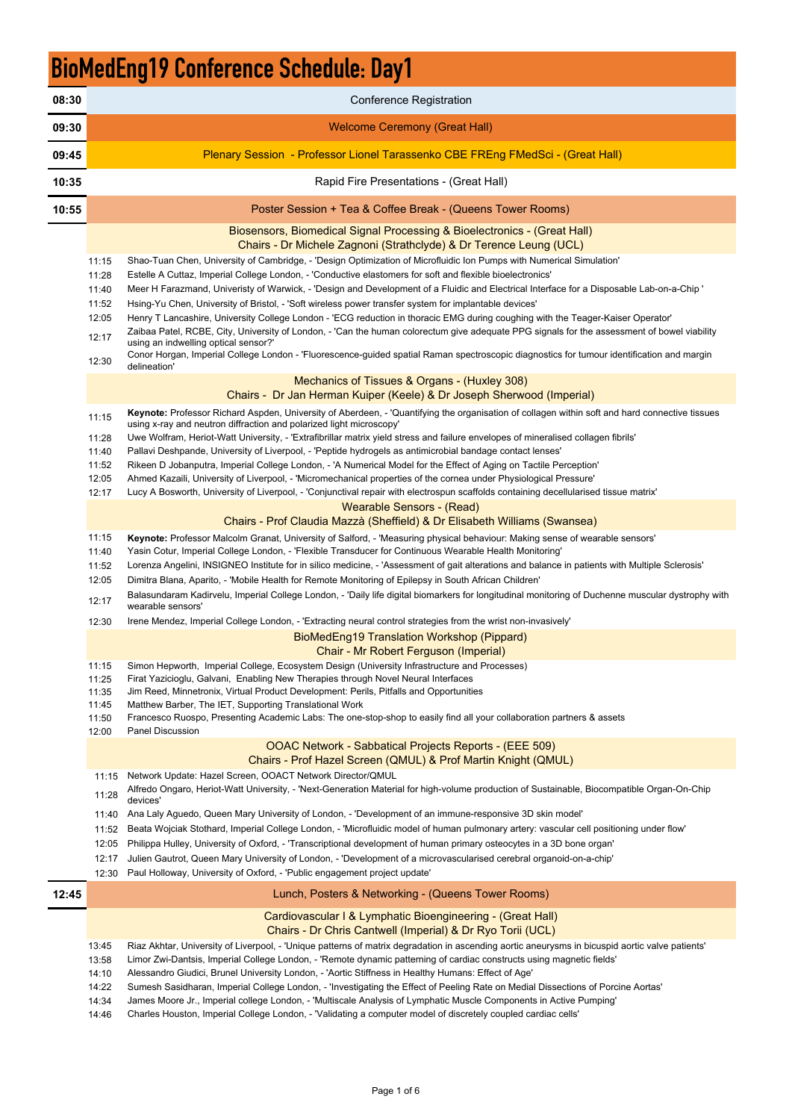14:46 Charles Houston, Imperial College London, - 'Validating a computer model of discretely coupled cardiac cells'

## BioMedEng19 Conference Schedule: Day1

- 11:52 Beata Wojciak Stothard, Imperial College London, 'Microfluidic model of human pulmonary artery: vascular cell positioning under flow'
- 

| 08:30 |                | <b>Conference Registration</b>                                                                                                                                                                                                          |
|-------|----------------|-----------------------------------------------------------------------------------------------------------------------------------------------------------------------------------------------------------------------------------------|
| 09:30 |                | <b>Welcome Ceremony (Great Hall)</b>                                                                                                                                                                                                    |
| 09:45 |                | Plenary Session - Professor Lionel Tarassenko CBE FREng FMedSci - (Great Hall)                                                                                                                                                          |
| 10:35 |                | Rapid Fire Presentations - (Great Hall)                                                                                                                                                                                                 |
| 10:55 |                | Poster Session + Tea & Coffee Break - (Queens Tower Rooms)                                                                                                                                                                              |
|       |                | Biosensors, Biomedical Signal Processing & Bioelectronics - (Great Hall)<br>Chairs - Dr Michele Zagnoni (Strathclyde) & Dr Terence Leung (UCL)                                                                                          |
|       | 11:15          | Shao-Tuan Chen, University of Cambridge, - 'Design Optimization of Microfluidic Ion Pumps with Numerical Simulation'                                                                                                                    |
|       | 11:28          | Estelle A Cuttaz, Imperial College London, - 'Conductive elastomers for soft and flexible bioelectronics'                                                                                                                               |
|       | 11:40          | Meer H Farazmand, Univeristy of Warwick, - 'Design and Development of a Fluidic and Electrical Interface for a Disposable Lab-on-a-Chip '                                                                                               |
|       | 11:52          | Hsing-Yu Chen, University of Bristol, - 'Soft wireless power transfer system for implantable devices'                                                                                                                                   |
|       | 12:05          | Henry T Lancashire, University College London - 'ECG reduction in thoracic EMG during coughing with the Teager-Kaiser Operator'                                                                                                         |
|       |                | Zaibaa Patel, RCBE, City, University of London, - 'Can the human colorectum give adequate PPG signals for the assessment of bowel viability                                                                                             |
|       | 12:17          | using an indwelling optical sensor?'                                                                                                                                                                                                    |
|       | 12:30          | Conor Horgan, Imperial College London - 'Fluorescence-guided spatial Raman spectroscopic diagnostics for tumour identification and margin<br>delineation'                                                                               |
|       |                | Mechanics of Tissues & Organs - (Huxley 308)                                                                                                                                                                                            |
|       |                | Chairs - Dr Jan Herman Kuiper (Keele) & Dr Joseph Sherwood (Imperial)                                                                                                                                                                   |
|       |                |                                                                                                                                                                                                                                         |
|       | 11:15          | Keynote: Professor Richard Aspden, University of Aberdeen, - 'Quantifying the organisation of collagen within soft and hard connective tissues<br>using x-ray and neutron diffraction and polarized light microscopy'                   |
|       | 11:28          | Uwe Wolfram, Heriot-Watt University, - 'Extrafibrillar matrix yield stress and failure envelopes of mineralised collagen fibrils'                                                                                                       |
|       | 11:40          | Pallavi Deshpande, University of Liverpool, - 'Peptide hydrogels as antimicrobial bandage contact lenses'                                                                                                                               |
|       | 11:52          | Rikeen D Jobanputra, Imperial College London, - 'A Numerical Model for the Effect of Aging on Tactile Perception'                                                                                                                       |
|       | 12:05          | Ahmed Kazaili, University of Liverpool, - 'Micromechanical properties of the cornea under Physiological Pressure'                                                                                                                       |
|       | 12:17          | Lucy A Bosworth, University of Liverpool, - 'Conjunctival repair with electrospun scaffolds containing decellularised tissue matrix'                                                                                                    |
|       |                | <u> 1999 - Albert Wearable Sensors - (Read)</u>                                                                                                                                                                                         |
|       |                | Chairs - Prof Claudia Mazzà (Sheffield) & Dr Elisabeth Williams (Swansea)                                                                                                                                                               |
|       | 11:15<br>11:40 | Keynote: Professor Malcolm Granat, University of Salford, - 'Measuring physical behaviour: Making sense of wearable sensors'<br>Yasin Cotur, Imperial College London, - 'Flexible Transducer for Continuous Wearable Health Monitoring' |
|       | 11:52          | Lorenza Angelini, INSIGNEO Institute for in silico medicine, - 'Assessment of gait alterations and balance in patients with Multiple Sclerosis'                                                                                         |
|       | 12:05          | Dimitra Blana, Aparito, - 'Mobile Health for Remote Monitoring of Epilepsy in South African Children'                                                                                                                                   |
|       | 12:17          | Balasundaram Kadirvelu, Imperial College London, - 'Daily life digital biomarkers for longitudinal monitoring of Duchenne muscular dystrophy with<br>wearable sensors'                                                                  |
|       | 12:30          | Irene Mendez, Imperial College London, - 'Extracting neural control strategies from the wrist non-invasively'                                                                                                                           |
|       |                | BioMedEng19 Translation Workshop (Pippard)                                                                                                                                                                                              |
|       |                | Chair - Mr Robert Ferguson (Imperial)                                                                                                                                                                                                   |
|       | 11:15          | Simon Hepworth, Imperial College, Ecosystem Design (University Infrastructure and Processes)                                                                                                                                            |
|       | 11:25          | Firat Yazicioglu, Galvani, Enabling New Therapies through Novel Neural Interfaces                                                                                                                                                       |
|       | 11:35          | Jim Reed, Minnetronix, Virtual Product Development: Perils, Pitfalls and Opportunities                                                                                                                                                  |
|       | 11:45          | Matthew Barber, The IET, Supporting Translational Work                                                                                                                                                                                  |
|       | 11:50          | Francesco Ruospo, Presenting Academic Labs: The one-stop-shop to easily find all your collaboration partners & assets                                                                                                                   |
|       | 12:00          | Panel Discussion                                                                                                                                                                                                                        |
|       |                | <b>OOAC Network - Sabbatical Projects Reports - (EEE 509)</b><br>Chairs - Prof Hazel Screen (QMUL) & Prof Martin Knight (QMUL)                                                                                                          |
|       | 11:15          | Network Update: Hazel Screen, OOACT Network Director/QMUL                                                                                                                                                                               |
|       | 11:28          | Alfredo Ongaro, Heriot-Watt University, - 'Next-Generation Material for high-volume production of Sustainable, Biocompatible Organ-On-Chip<br>devices'                                                                                  |
|       | 11:40          | Ana Laly Aguedo, Queen Mary University of London, - 'Development of an immune-responsive 3D skin model'                                                                                                                                 |
|       |                | Death Weisigk Otathough Importal Oollogo London - Wiesefluidig model of human pulmonomy artemy yogayler cell positioning yrader flow                                                                                                    |

|       | 12:05 | Philippa Hulley, University of Oxford, - 'Transcriptional development of human primary osteocytes in a 3D bone organ'                           |
|-------|-------|-------------------------------------------------------------------------------------------------------------------------------------------------|
|       | 12:17 | Julien Gautrot, Queen Mary University of London, - 'Development of a microvascularised cerebral organoid-on-a-chip'                             |
|       | 12:30 | Paul Holloway, University of Oxford, - 'Public engagement project update'                                                                       |
| 12:45 |       | Lunch, Posters & Networking - (Queens Tower Rooms)                                                                                              |
|       |       | Cardiovascular I & Lymphatic Bioengineering - (Great Hall)<br>Chairs - Dr Chris Cantwell (Imperial) & Dr Ryo Torii (UCL)                        |
|       | 13:45 | Riaz Akhtar, University of Liverpool, - 'Unique patterns of matrix degradation in ascending aortic aneurysms in bicuspid aortic valve patients' |
|       | 13:58 | Limor Zwi-Dantsis, Imperial College London, - 'Remote dynamic patterning of cardiac constructs using magnetic fields'                           |
|       | 14:10 | Alessandro Giudici, Brunel University London, - 'Aortic Stiffness in Healthy Humans: Effect of Age'                                             |
|       | 14:22 | Sumesh Sasidharan, Imperial College London, - 'Investigating the Effect of Peeling Rate on Medial Dissections of Porcine Aortas'                |
|       | 14:34 | James Moore Jr., Imperial college London, - 'Multiscale Analysis of Lymphatic Muscle Components in Active Pumping'                              |
|       |       |                                                                                                                                                 |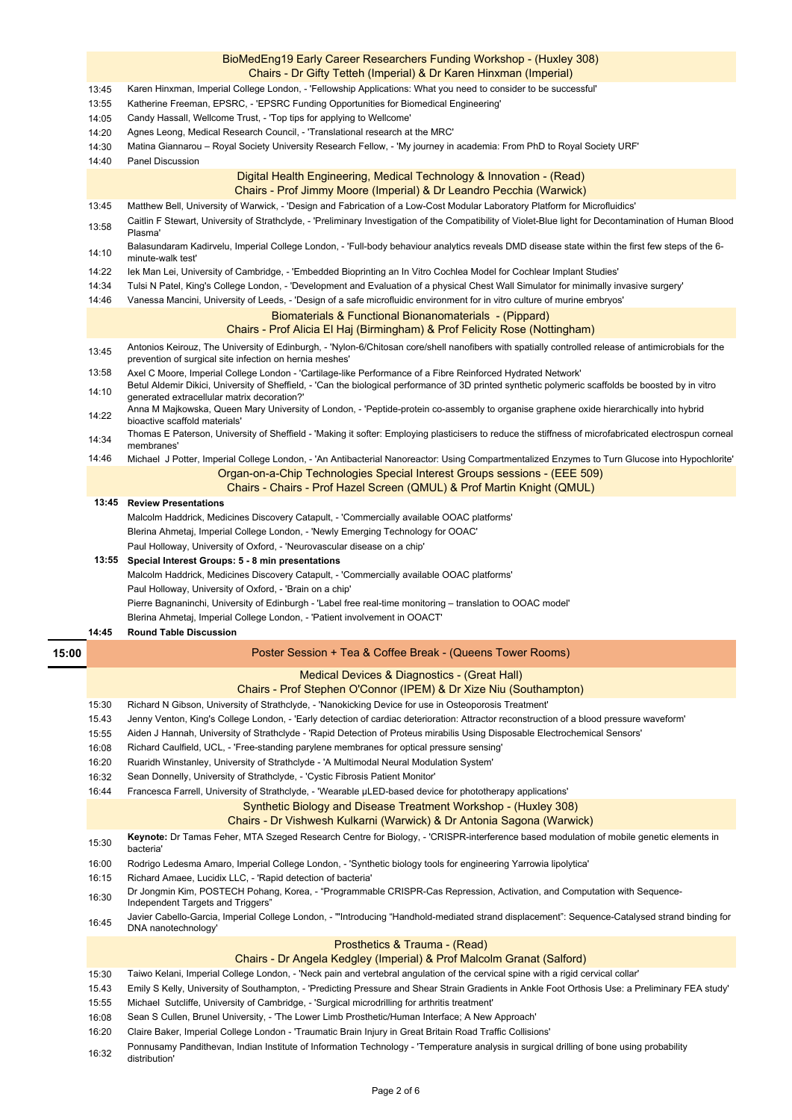- 13:45 Matthew Bell, University of Warwick, - 'Design and Fabrication of a Low-Cost Modular Laboratory Platform for Microfluidics'
- 13:58 Caitlin F Stewart, University of Strathclyde, - 'Preliminary Investigation of the Compatibility of Violet-Blue light for Decontamination of Human Blood Plasma'
- 14:10 Balasundaram Kadirvelu, Imperial College London, - 'Full-body behaviour analytics reveals DMD disease state within the first few steps of the 6 minute-walk test'
- 14:22 Iek Man Lei, University of Cambridge, - 'Embedded Bioprinting an In Vitro Cochlea Model for Cochlear Implant Studies'
- 14:34 Tulsi N Patel, King's College London, - 'Development and Evaluation of a physical Chest Wall Simulator for minimally invasive surgery'
- 14:46 Vanessa Mancini, University of Leeds, - 'Design of a safe microfluidic environment for in vitro culture of murine embryos'

#### **14:45 Round Table Discussion**

Pierre Bagnaninchi, University of Edinburgh - 'Label free real-time monitoring – translation to OOAC model'

### Chairs - Chairs - Prof Hazel Screen (QMUL) & Prof Martin Knight (QMUL)

Blerina Ahmetaj, Imperial College London, - 'Patient involvement in OOACT'

Paul Holloway, University of Oxford, - 'Brain on a chip'

Malcolm Haddrick, Medicines Discovery Catapult, - 'Commercially available OOAC platforms'

#### **Special Interest Groups: 5 - 8 min presentations 13:55**

#### Prosthetics & Trauma - (Read)

Chairs - Dr Angela Kedgley (Imperial) & Prof Malcolm Granat (Salford)

15:30 **Keynote:** Dr Tamas Feher, MTA Szeged Research Centre for Biology, - 'CRISPR-interference based modulation of mobile genetic elements in

14:46 Organ-on-a-Chip Technologies Special Interest Groups sessions - (EEE 509) Michael J Potter, Imperial College London, - 'An Antibacterial Nanoreactor: Using Compartmentalized Enzymes to Turn Glucose into Hypochlorite'

- 13:45 13:58 14:10 14:22 Antonios Keirouz, The University of Edinburgh, - 'Nylon-6/Chitosan core/shell nanofibers with spatially controlled release of antimicrobials for the prevention of surgical site infection on hernia meshes' Axel C Moore, Imperial College London - 'Cartilage-like Performance of a Fibre Reinforced Hydrated Network' Betul Aldemir Dikici, University of Sheffield, - 'Can the biological performance of 3D printed synthetic polymeric scaffolds be boosted by in vitro generated extracellular matrix decoration?' Anna M Majkowska, Queen Mary University of London, - 'Peptide-protein co-assembly to organise graphene oxide hierarchically into hybrid bioactive scaffold materials'
- 14:34 Thomas E Paterson, University of Sheffield - 'Making it softer: Employing plasticisers to reduce the stiffness of microfabricated electrospun corneal membranes'

- 15:30 Taiwo Kelani, Imperial College London, - 'Neck pain and vertebral angulation of the cervical spine with a rigid cervical collar'
- 15.43 Emily S Kelly, University of Southampton, - 'Predicting Pressure and Shear Strain Gradients in Ankle Foot Orthosis Use: a Preliminary FEA study'
- 15:55 Michael Sutcliffe, University of Cambridge, - 'Surgical microdrilling for arthritis treatment'
- 16:08 Sean S Cullen, Brunel University, - 'The Lower Limb Prosthetic/Human Interface; A New Approach'
- 16:20 Claire Baker, Imperial College London - 'Traumatic Brain Injury in Great Britain Road Traffic Collisions'
- 16:32 Ponnusamy Pandithevan, Indian Institute of Information Technology - 'Temperature analysis in surgical drilling of bone using probability distribution'

#### BioMedEng19 Early Career Researchers Funding Workshop - (Huxley 308) Chairs - Dr Gifty Tetteh (Imperial) & Dr Karen Hinxman (Imperial)

- 13:45 Karen Hinxman, Imperial College London, - 'Fellowship Applications: What you need to consider to be successful'
- 13:55 Katherine Freeman, EPSRC, - 'EPSRC Funding Opportunities for Biomedical Engineering'
- 14:05 Candy Hassall, Wellcome Trust, - 'Top tips for applying to Wellcome'
- 14:20 Agnes Leong, Medical Research Council, - 'Translational research at the MRC'
- 14:30 Matina Giannarou – Royal Society University Research Fellow, - 'My journey in academia: From PhD to Royal Society URF'
- 14:40 Panel Discussion

#### **15:00**  15:30 15.43 15:55 16:08 16:20 16:32 16:44 Synthetic Biology and Disease Treatment Workshop - (Huxley 308) Chairs - Dr Vishwesh Kulkarni (Warwick) & Dr Antonia Sagona (Warwick) Medical Devices & Diagnostics - (Great Hall) Chairs - Prof Stephen O'Connor (IPEM) & Dr Xize Niu (Southampton) Poster Session + Tea & Coffee Break - (Queens Tower Rooms) Aiden J Hannah, University of Strathclyde - 'Rapid Detection of Proteus mirabilis Using Disposable Electrochemical Sensors' Richard Caulfield, UCL, - 'Free-standing parylene membranes for optical pressure sensing' Sean Donnelly, University of Strathclyde, - 'Cystic Fibrosis Patient Monitor' Francesca Farrell, University of Strathclyde, - 'Wearable µLED-based device for phototherapy applications' Ruaridh Winstanley, University of Strathclyde - 'A Multimodal Neural Modulation System' Jenny Venton, King's College London, - 'Early detection of cardiac deterioration: Attractor reconstruction of a blood pressure waveform' Richard N Gibson, University of Strathclyde, - 'Nanokicking Device for use in Osteoporosis Treatment'

### Biomaterials & Functional Bionanomaterials - (Pippard)

#### Chairs - Prof Alicia El Haj (Birmingham) & Prof Felicity Rose (Nottingham)

Paul Holloway, University of Oxford, - 'Neurovascular disease on a chip' Malcolm Haddrick, Medicines Discovery Catapult, - 'Commercially available OOAC platforms' Blerina Ahmetaj, Imperial College London, - 'Newly Emerging Technology for OOAC'

- bacteria'
- 16:00 Rodrigo Ledesma Amaro, Imperial College London, - 'Synthetic biology tools for engineering Yarrowia lipolytica'
- 16:15 Richard Amaee, Lucidix LLC, - 'Rapid detection of bacteria'
- 16:30 Dr Jongmin Kim, POSTECH Pohang, Korea, - "Programmable CRISPR-Cas Repression, Activation, and Computation with Sequence-
- Independent Targets and Triggers"
- 16:45 Javier Cabello-Garcia, Imperial College London, - '"Introducing "Handhold-mediated strand displacement": Sequence-Catalysed strand binding for DNA nanotechnology'

#### **13:45 Review Presentations**

### Digital Health Engineering, Medical Technology & Innovation - (Read)

#### Chairs - Prof Jimmy Moore (Imperial) & Dr Leandro Pecchia (Warwick)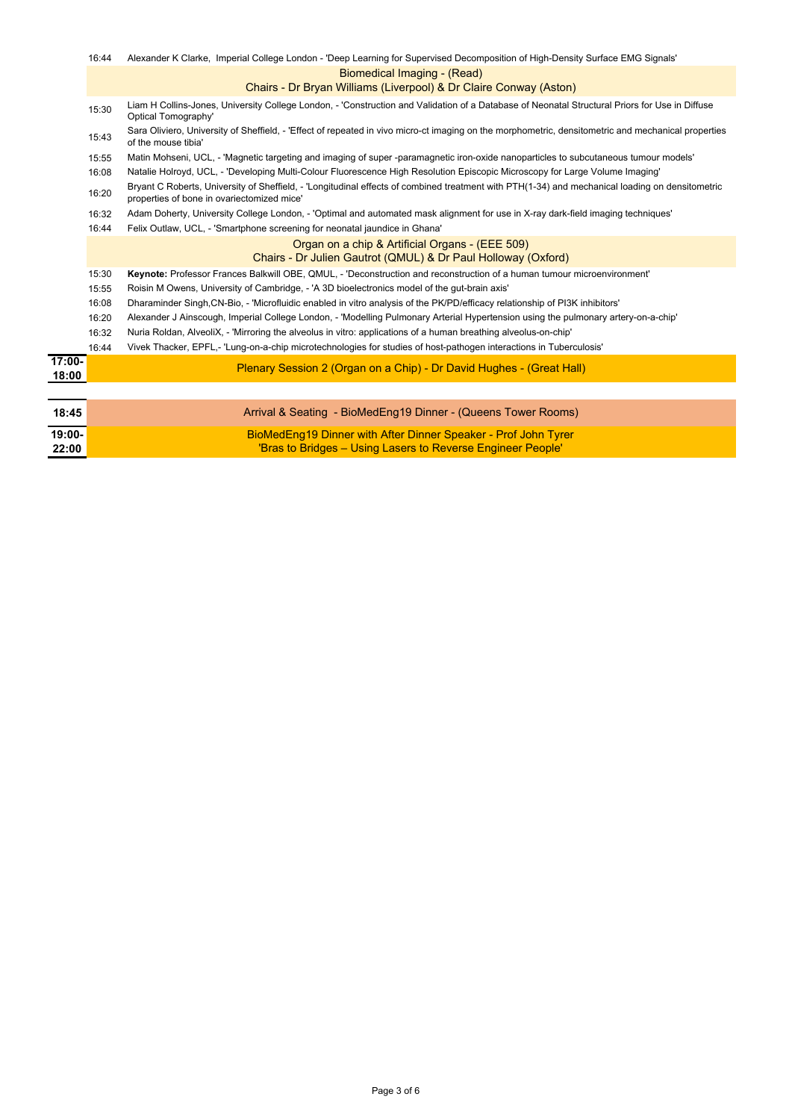|                    | 16:44 | Alexander K Clarke, Imperial College London - 'Deep Learning for Supervised Decomposition of High-Density Surface EMG Signals'                                                                |
|--------------------|-------|-----------------------------------------------------------------------------------------------------------------------------------------------------------------------------------------------|
|                    |       | <b>Biomedical Imaging - (Read)</b>                                                                                                                                                            |
|                    |       | Chairs - Dr Bryan Williams (Liverpool) & Dr Claire Conway (Aston)                                                                                                                             |
|                    | 15:30 | Liam H Collins-Jones, University College London, - 'Construction and Validation of a Database of Neonatal Structural Priors for Use in Diffuse<br><b>Optical Tomography'</b>                  |
|                    | 15:43 | Sara Oliviero, University of Sheffield, - 'Effect of repeated in vivo micro-ct imaging on the morphometric, densitometric and mechanical properties<br>of the mouse tibia'                    |
|                    | 15:55 | Matin Mohseni, UCL, - 'Magnetic targeting and imaging of super-paramagnetic iron-oxide nanoparticles to subcutaneous tumour models'                                                           |
|                    | 16:08 | Natalie Holroyd, UCL, - 'Developing Multi-Colour Fluorescence High Resolution Episcopic Microscopy for Large Volume Imaging'                                                                  |
|                    | 16:20 | Bryant C Roberts, University of Sheffield, - 'Longitudinal effects of combined treatment with PTH(1-34) and mechanical loading on densitometric<br>properties of bone in ovariectomized mice' |
|                    | 16:32 | Adam Doherty, University College London, - 'Optimal and automated mask alignment for use in X-ray dark-field imaging techniques'                                                              |
|                    | 16:44 | Felix Outlaw, UCL, - 'Smartphone screening for neonatal jaundice in Ghana'                                                                                                                    |
|                    |       | Organ on a chip & Artificial Organs - (EEE 509)                                                                                                                                               |
|                    |       | Chairs - Dr Julien Gautrot (QMUL) & Dr Paul Holloway (Oxford)                                                                                                                                 |
|                    | 15:30 | Keynote: Professor Frances Balkwill OBE, QMUL, - 'Deconstruction and reconstruction of a human tumour microenvironment'                                                                       |
|                    | 15:55 | Roisin M Owens, University of Cambridge, - 'A 3D bioelectronics model of the gut-brain axis'                                                                                                  |
|                    | 16:08 | Dharaminder Singh, CN-Bio, - 'Microfluidic enabled in vitro analysis of the PK/PD/efficacy relationship of PI3K inhibitors'                                                                   |
|                    | 16:20 | Alexander J Ainscough, Imperial College London, - 'Modelling Pulmonary Arterial Hypertension using the pulmonary artery-on-a-chip'                                                            |
|                    | 16:32 | Nuria Roldan, AlveoliX, - 'Mirroring the alveolus in vitro: applications of a human breathing alveolus-on-chip'                                                                               |
|                    | 16:44 | Vivek Thacker, EPFL,- 'Lung-on-a-chip microtechnologies for studies of host-pathogen interactions in Tuberculosis'                                                                            |
| $17:00 -$<br>18:00 |       | Plenary Session 2 (Organ on a Chip) - Dr David Hughes - (Great Hall)                                                                                                                          |
|                    |       |                                                                                                                                                                                               |
| 18:45              |       | Arrival & Seating - BioMedEng19 Dinner - (Queens Tower Rooms)                                                                                                                                 |
| 19:00-             |       | BioMedEng19 Dinner with After Dinner Speaker - Prof John Tyrer                                                                                                                                |
| 22:00              |       | 'Bras to Bridges - Using Lasers to Reverse Engineer People'                                                                                                                                   |

Page 3 of 6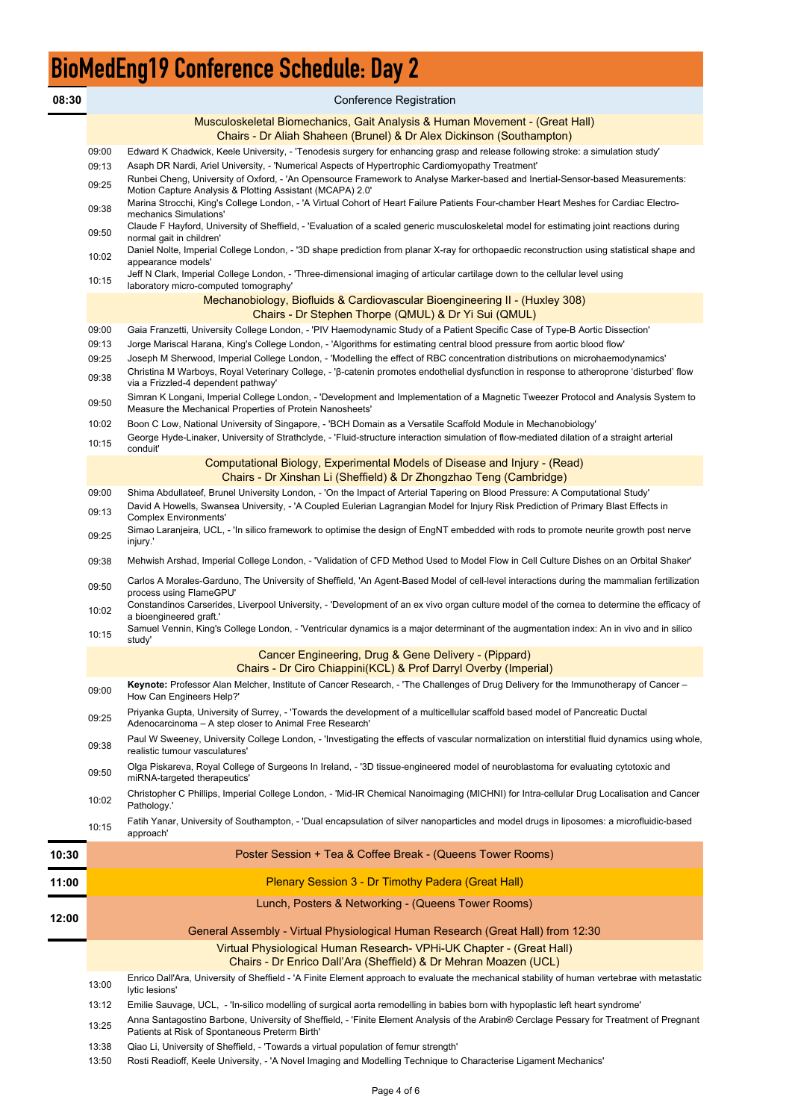# BioMedEng19 Conference Schedule: Day 2

| 08:30 |                | <b>Conference Registration</b>                                                                                                                                                                                                                                                                                                      |
|-------|----------------|-------------------------------------------------------------------------------------------------------------------------------------------------------------------------------------------------------------------------------------------------------------------------------------------------------------------------------------|
|       |                | Musculoskeletal Biomechanics, Gait Analysis & Human Movement - (Great Hall)<br>Chairs - Dr Aliah Shaheen (Brunel) & Dr Alex Dickinson (Southampton)                                                                                                                                                                                 |
|       | 09:00<br>09:13 | Edward K Chadwick, Keele University, - 'Tenodesis surgery for enhancing grasp and release following stroke: a simulation study'<br>Asaph DR Nardi, Ariel University, - 'Numerical Aspects of Hypertrophic Cardiomyopathy Treatment'                                                                                                 |
|       | 09:25<br>09:38 | Runbei Cheng, University of Oxford, - 'An Opensource Framework to Analyse Marker-based and Inertial-Sensor-based Measurements:<br>Motion Capture Analysis & Plotting Assistant (MCAPA) 2.0'<br>Marina Strocchi, King's College London, - 'A Virtual Cohort of Heart Failure Patients Four-chamber Heart Meshes for Cardiac Electro- |
|       | 09:50          | mechanics Simulations'<br>Claude F Hayford, University of Sheffield, - 'Evaluation of a scaled generic musculoskeletal model for estimating joint reactions during                                                                                                                                                                  |
|       | 10:02          | normal gait in children'<br>Daniel Nolte, Imperial College London, - '3D shape prediction from planar X-ray for orthopaedic reconstruction using statistical shape and                                                                                                                                                              |
|       | 10:15          | appearance models'<br>Jeff N Clark, Imperial College London, - 'Three-dimensional imaging of articular cartilage down to the cellular level using<br>laboratory micro-computed tomography'                                                                                                                                          |
|       |                | Mechanobiology, Biofluids & Cardiovascular Bioengineering II - (Huxley 308)<br>Chairs - Dr Stephen Thorpe (QMUL) & Dr Yi Sui (QMUL)                                                                                                                                                                                                 |
|       | 09:00          | Gaia Franzetti, University College London, - 'PIV Haemodynamic Study of a Patient Specific Case of Type-B Aortic Dissection'                                                                                                                                                                                                        |
|       | 09:13          | Jorge Mariscal Harana, King's College London, - 'Algorithms for estimating central blood pressure from aortic blood flow'                                                                                                                                                                                                           |
|       | 09:25<br>09:38 | Joseph M Sherwood, Imperial College London, - 'Modelling the effect of RBC concentration distributions on microhaemodynamics'<br>Christina M Warboys, Royal Veterinary College, - 'ß-catenin promotes endothelial dysfunction in response to atheroprone 'disturbed' flow<br>via a Frizzled-4 dependent pathway'                    |
|       | 09:50          | Simran K Longani, Imperial College London, - 'Development and Implementation of a Magnetic Tweezer Protocol and Analysis System to<br>Measure the Mechanical Properties of Protein Nanosheets'                                                                                                                                      |
|       | 10:02<br>10:15 | Boon C Low, National University of Singapore, - 'BCH Domain as a Versatile Scaffold Module in Mechanobiology'<br>George Hyde-Linaker, University of Strathclyde, - 'Fluid-structure interaction simulation of flow-mediated dilation of a straight arterial<br>conduit'                                                             |
|       |                | Computational Biology, Experimental Models of Disease and Injury - (Read)<br>Chairs - Dr Xinshan Li (Sheffield) & Dr Zhongzhao Teng (Cambridge)                                                                                                                                                                                     |
|       | 09:00          | Shima Abdullateef, Brunel University London, - 'On the Impact of Arterial Tapering on Blood Pressure: A Computational Study'<br>David A Howells, Swansea University, - 'A Coupled Eulerian Lagrangian Model for Injury Risk Prediction of Primary Blast Effects in                                                                  |
|       | 09:13<br>09:25 | <b>Complex Environments'</b><br>Simao Laranjeira, UCL, - 'In silico framework to optimise the design of EngNT embedded with rods to promote neurite growth post nerve                                                                                                                                                               |
|       | 09:38          | injury.'<br>Mehwish Arshad, Imperial College London, - 'Validation of CFD Method Used to Model Flow in Cell Culture Dishes on an Orbital Shaker'                                                                                                                                                                                    |
|       | 09:50          | Carlos A Morales-Garduno, The University of Sheffield, 'An Agent-Based Model of cell-level interactions during the mammalian fertilization                                                                                                                                                                                          |
|       | 10:02          | process using FlameGPU'<br>Constandinos Carserides, Liverpool University, - 'Development of an ex vivo organ culture model of the cornea to determine the efficacy of                                                                                                                                                               |
|       | 10:15          | a bioengineered graft.'<br>Samuel Vennin, King's College London, - 'Ventricular dynamics is a major determinant of the augmentation index: An in vivo and in silico<br>study'                                                                                                                                                       |
|       |                | Cancer Engineering, Drug & Gene Delivery - (Pippard)<br>Chairs - Dr Ciro Chiappini(KCL) & Prof Darryl Overby (Imperial)                                                                                                                                                                                                             |
|       | 09:00          | Keynote: Professor Alan Melcher, Institute of Cancer Research, - 'The Challenges of Drug Delivery for the Immunotherapy of Cancer -<br>How Can Engineers Help?'                                                                                                                                                                     |
|       | 09:25          | Priyanka Gupta, University of Surrey, - 'Towards the development of a multicellular scaffold based model of Pancreatic Ductal<br>Adenocarcinoma - A step closer to Animal Free Research'                                                                                                                                            |
|       | 09:38          | Paul W Sweeney, University College London, - 'Investigating the effects of vascular normalization on interstitial fluid dynamics using whole,<br>realistic tumour vasculatures'                                                                                                                                                     |
|       | 09:50          | Olga Piskareva, Royal College of Surgeons In Ireland, - '3D tissue-engineered model of neuroblastoma for evaluating cytotoxic and<br>miRNA-targeted therapeutics'                                                                                                                                                                   |
|       | 10:02          | Christopher C Phillips, Imperial College London, - 'Mid-IR Chemical Nanoimaging (MICHNI) for Intra-cellular Drug Localisation and Cancer<br>Pathology.'                                                                                                                                                                             |
|       | 10:15          | Fatih Yanar, University of Southampton, - 'Dual encapsulation of silver nanoparticles and model drugs in liposomes: a microfluidic-based<br>approach'                                                                                                                                                                               |
| 10:30 |                | Poster Session + Tea & Coffee Break - (Queens Tower Rooms)                                                                                                                                                                                                                                                                          |
| 11:00 |                | <b>Plenary Session 3 - Dr Timothy Padera (Great Hall)</b>                                                                                                                                                                                                                                                                           |
| 12:00 |                | Lunch, Posters & Networking - (Queens Tower Rooms)                                                                                                                                                                                                                                                                                  |
|       |                | General Assembly - Virtual Physiological Human Research (Great Hall) from 12:30                                                                                                                                                                                                                                                     |
|       |                | Virtual Physiological Human Research- VPHi-UK Chapter - (Great Hall)<br>Chairs - Dr Enrico Dall'Ara (Sheffield) & Dr Mehran Moazen (UCL)                                                                                                                                                                                            |
|       | 13:00          | Enrico Dall'Ara, University of Sheffield - 'A Finite Element approach to evaluate the mechanical stability of human vertebrae with metastatic<br>lytic lesions'                                                                                                                                                                     |
|       | 13:12          | Emilie Sauvage, UCL, - 'In-silico modelling of surgical aorta remodelling in babies born with hypoplastic left heart syndrome'                                                                                                                                                                                                      |
|       | 13:25          | Anna Santagostino Barbone, University of Sheffield, - 'Finite Element Analysis of the Arabin® Cerclage Pessary for Treatment of Pregnant<br>Patients at Risk of Spontaneous Preterm Birth'                                                                                                                                          |
|       | 13:38<br>13:50 | Qiao Li, University of Sheffield, - 'Towards a virtual population of femur strength'<br>Rosti Readioff, Keele University, - 'A Novel Imaging and Modelling Technique to Characterise Ligament Mechanics'                                                                                                                            |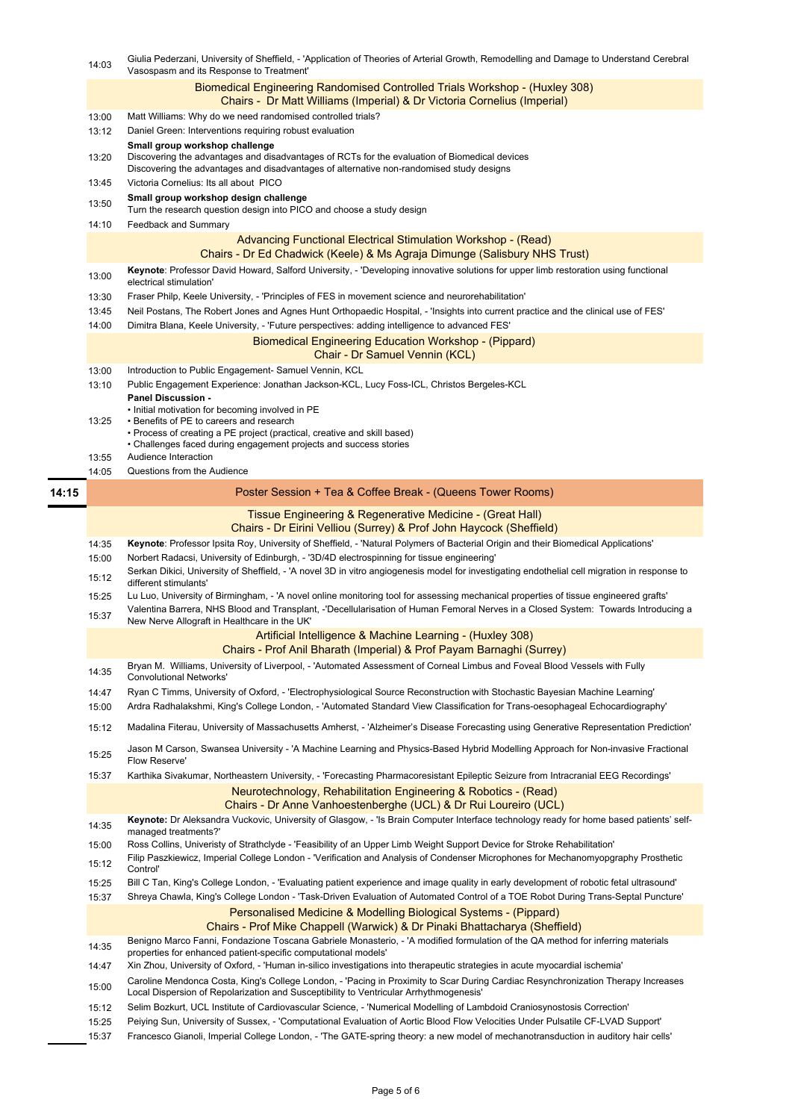- 14:35 Benigno Marco Fanni, Fondazione Toscana Gabriele Monasterio, - 'A modified formulation of the QA method for inferring materials properties for enhanced patient-specific computational models'
- 14:47 Xin Zhou, University of Oxford, - 'Human in-silico investigations into therapeutic strategies in acute myocardial ischemia'
- 15:00 Caroline Mendonca Costa, King's College London, - 'Pacing in Proximity to Scar During Cardiac Resynchronization Therapy Increases Local Dispersion of Repolarization and Susceptibility to Ventricular Arrhythmogenesis'
- 15:12 Selim Bozkurt, UCL Institute of Cardiovascular Science, - 'Numerical Modelling of Lambdoid Craniosynostosis Correction'
- 15:25 Peiying Sun, University of Sussex, - 'Computational Evaluation of Aortic Blood Flow Velocities Under Pulsatile CF-LVAD Support'
- 15:37 Francesco Gianoli, Imperial College London, - 'The GATE-spring theory: a new model of mechanotransduction in auditory hair cells'
- 
- 15:12 Filip Paszkiewicz, Imperial College London - 'Verification and Analysis of Condenser Microphones for Mechanomyopgraphy Prosthetic Control'
- 15:25 Bill C Tan, King's College London, - 'Evaluating patient experience and image quality in early development of robotic fetal ultrasound'
- 15:37 Shreya Chawla, King's College London - 'Task-Driven Evaluation of Automated Control of a TOE Robot During Trans-Septal Puncture'

15:00 Ross Collins, Univeristy of Strathclyde - 'Feasibility of an Upper Limb Weight Support Device for Stroke Rehabilitation'

|       | 14:03          | Giulia Pederzani, University of Sheffield, - 'Application of Theories of Arterial Growth, Remodelling and Damage to Understand Cerebral<br>Vasospasm and its Response to Treatment'                                                                                                                                        |
|-------|----------------|----------------------------------------------------------------------------------------------------------------------------------------------------------------------------------------------------------------------------------------------------------------------------------------------------------------------------|
|       |                | Biomedical Engineering Randomised Controlled Trials Workshop - (Huxley 308)<br>Chairs - Dr Matt Williams (Imperial) & Dr Victoria Cornelius (Imperial)                                                                                                                                                                     |
|       | 13:00          | Matt Williams: Why do we need randomised controlled trials?                                                                                                                                                                                                                                                                |
|       | 13:12          | Daniel Green: Interventions requiring robust evaluation                                                                                                                                                                                                                                                                    |
|       | 13:20          | Small group workshop challenge<br>Discovering the advantages and disadvantages of RCTs for the evaluation of Biomedical devices<br>Discovering the advantages and disadvantages of alternative non-randomised study designs                                                                                                |
|       | 13:45          | Victoria Cornelius: Its all about PICO                                                                                                                                                                                                                                                                                     |
|       | 13:50          | Small group workshop design challenge<br>Turn the research question design into PICO and choose a study design                                                                                                                                                                                                             |
|       | 14:10          | Feedback and Summary                                                                                                                                                                                                                                                                                                       |
|       |                | Advancing Functional Electrical Stimulation Workshop - (Read)<br>Chairs - Dr Ed Chadwick (Keele) & Ms Agraja Dimunge (Salisbury NHS Trust)                                                                                                                                                                                 |
|       | 13:00          | Keynote: Professor David Howard, Salford University, - 'Developing innovative solutions for upper limb restoration using functional<br>electrical stimulation'                                                                                                                                                             |
|       | 13:30          | Fraser Philp, Keele University, - 'Principles of FES in movement science and neurorehabilitation'                                                                                                                                                                                                                          |
|       | 13:45          | Neil Postans, The Robert Jones and Agnes Hunt Orthopaedic Hospital, - 'Insights into current practice and the clinical use of FES'                                                                                                                                                                                         |
|       | 14:00          | Dimitra Blana, Keele University, - 'Future perspectives: adding intelligence to advanced FES'                                                                                                                                                                                                                              |
|       |                | <b>Biomedical Engineering Education Workshop - (Pippard)</b><br><b>Chair - Dr Samuel Vennin (KCL)</b>                                                                                                                                                                                                                      |
|       | 13:00          | Introduction to Public Engagement- Samuel Vennin, KCL                                                                                                                                                                                                                                                                      |
|       | 13:10          | Public Engagement Experience: Jonathan Jackson-KCL, Lucy Foss-ICL, Christos Bergeles-KCL<br><b>Panel Discussion -</b>                                                                                                                                                                                                      |
|       | 13:25          | • Initial motivation for becoming involved in PE<br>• Benefits of PE to careers and research<br>• Process of creating a PE project (practical, creative and skill based)<br>• Challenges faced during engagement projects and success stories                                                                              |
|       | 13:55          | Audience Interaction                                                                                                                                                                                                                                                                                                       |
|       |                |                                                                                                                                                                                                                                                                                                                            |
|       | 14:05          | Questions from the Audience                                                                                                                                                                                                                                                                                                |
|       |                | Poster Session + Tea & Coffee Break - (Queens Tower Rooms)                                                                                                                                                                                                                                                                 |
|       |                | Tissue Engineering & Regenerative Medicine - (Great Hall)<br>Chairs - Dr Eirini Velliou (Surrey) & Prof John Haycock (Sheffield)                                                                                                                                                                                           |
|       | 14:35          | Keynote: Professor Ipsita Roy, University of Sheffield, - 'Natural Polymers of Bacterial Origin and their Biomedical Applications'                                                                                                                                                                                         |
|       | 15:00          | Norbert Radacsi, University of Edinburgh, - '3D/4D electrospinning for tissue engineering'                                                                                                                                                                                                                                 |
|       | 15:12          | Serkan Dikici, University of Sheffield, - 'A novel 3D in vitro angiogenesis model for investigating endothelial cell migration in response to                                                                                                                                                                              |
|       |                | different stimulants'                                                                                                                                                                                                                                                                                                      |
|       | 15:25<br>15:37 | Lu Luo, University of Birmingham, - 'A novel online monitoring tool for assessing mechanical properties of tissue engineered grafts'<br>Valentina Barrera, NHS Blood and Transplant, -'Decellularisation of Human Femoral Nerves in a Closed System: Towards Introducing a<br>New Nerve Allograft in Healthcare in the UK' |
|       |                | Artificial Intelligence & Machine Learning - (Huxley 308)                                                                                                                                                                                                                                                                  |
|       |                | Chairs - Prof Anil Bharath (Imperial) & Prof Payam Barnaghi (Surrey)                                                                                                                                                                                                                                                       |
|       | 14:35          | Bryan M. Williams, University of Liverpool, - 'Automated Assessment of Corneal Limbus and Foveal Blood Vessels with Fully<br><b>Convolutional Networks'</b>                                                                                                                                                                |
|       | 14:47          | Ryan C Timms, University of Oxford, - 'Electrophysiological Source Reconstruction with Stochastic Bayesian Machine Learning'                                                                                                                                                                                               |
|       | 15:00          | Ardra Radhalakshmi, King's College London, - 'Automated Standard View Classification for Trans-oesophageal Echocardiography'                                                                                                                                                                                               |
|       | 15:12          | Madalina Fiterau, University of Massachusetts Amherst, - 'Alzheimer's Disease Forecasting using Generative Representation Prediction'                                                                                                                                                                                      |
|       | 15:25          | Jason M Carson, Swansea University - 'A Machine Learning and Physics-Based Hybrid Modelling Approach for Non-invasive Fractional<br>Flow Reserve'                                                                                                                                                                          |
|       | 15:37          | Karthika Sivakumar, Northeastern University, - 'Forecasting Pharmacoresistant Epileptic Seizure from Intracranial EEG Recordings'                                                                                                                                                                                          |
| 14:15 |                | Neurotechnology, Rehabilitation Engineering & Robotics - (Read)<br>Chairs - Dr Anne Vanhoestenberghe (UCL) & Dr Rui Loureiro (UCL)                                                                                                                                                                                         |

Personalised Medicine & Modelling Biological Systems - (Pippard) Chairs - Prof Mike Chappell (Warwick) & Dr Pinaki Bhattacharya (Sheffield)